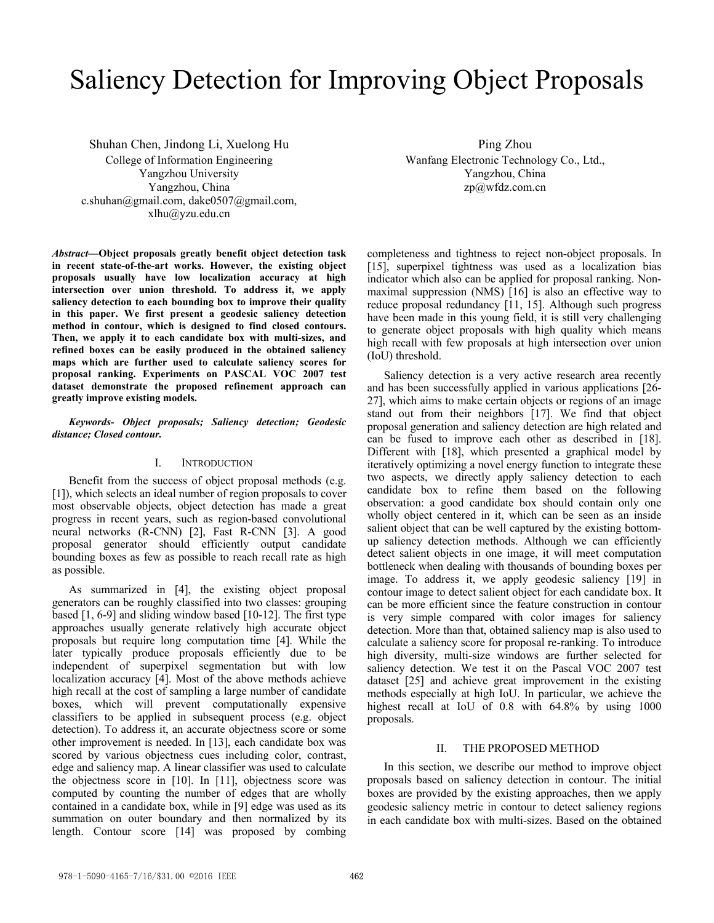# Saliency Detection for Improving Object Proposals

Shuhan Chen, Jindong Li, Xuelong Hu College of Information Engineering Yangzhou University Yangzhou, China c.shuhan@gmail.com, dake0507@gmail.com, xlhu@yzu.edu.cn

*Abstract***—Object proposals greatly benefit object detection task in recent state-of-the-art works. However, the existing object proposals usually have low localization accuracy at high intersection over union threshold. To address it, we apply saliency detection to each bounding box to improve their quality in this paper. We first present a geodesic saliency detection method in contour, which is designed to find closed contours. Then, we apply it to each candidate box with multi-sizes, and refined boxes can be easily produced in the obtained saliency maps which are further used to calculate saliency scores for proposal ranking. Experiments on PASCAL VOC 2007 test dataset demonstrate the proposed refinement approach can greatly improve existing models.** 

## *Keywords- Object proposals; Saliency detection; Geodesic distance; Closed contour.*

# I. INTRODUCTION

Benefit from the success of object proposal methods (e.g. [1]), which selects an ideal number of region proposals to cover most observable objects, object detection has made a great progress in recent years, such as region-based convolutional neural networks (R-CNN) [2], Fast R-CNN [3]. A good proposal generator should efficiently output candidate bounding boxes as few as possible to reach recall rate as high as possible.

As summarized in [4], the existing object proposal generators can be roughly classified into two classes: grouping based [1, 6-9] and sliding window based [10-12]. The first type approaches usually generate relatively high accurate object proposals but require long computation time [4]. While the later typically produce proposals efficiently due to be independent of superpixel segmentation but with low localization accuracy [4]. Most of the above methods achieve high recall at the cost of sampling a large number of candidate boxes, which will prevent computationally expensive classifiers to be applied in subsequent process (e.g. object detection). To address it, an accurate objectness score or some other improvement is needed. In [13], each candidate box was scored by various objectness cues including color, contrast, edge and saliency map. A linear classifier was used to calculate the objectness score in [10]. In [11], objectness score was computed by counting the number of edges that are wholly contained in a candidate box, while in [9] edge was used as its summation on outer boundary and then normalized by its length. Contour score [14] was proposed by combing

Ping Zhou Wanfang Electronic Technology Co., Ltd., Yangzhou, China zp@wfdz.com.cn

completeness and tightness to reject non-object proposals. In [15], superpixel tightness was used as a localization bias indicator which also can be applied for proposal ranking. Nonmaximal suppression (NMS) [16] is also an effective way to reduce proposal redundancy [11, 15]. Although such progress have been made in this young field, it is still very challenging to generate object proposals with high quality which means high recall with few proposals at high intersection over union (IoU) threshold.

Saliency detection is a very active research area recently and has been successfully applied in various applications [26- 27], which aims to make certain objects or regions of an image stand out from their neighbors [17]. We find that object proposal generation and saliency detection are high related and can be fused to improve each other as described in [18]. Different with [18], which presented a graphical model by iteratively optimizing a novel energy function to integrate these two aspects, we directly apply saliency detection to each candidate box to refine them based on the following observation: a good candidate box should contain only one wholly object centered in it, which can be seen as an inside salient object that can be well captured by the existing bottomup saliency detection methods. Although we can efficiently detect salient objects in one image, it will meet computation bottleneck when dealing with thousands of bounding boxes per image. To address it, we apply geodesic saliency [19] in contour image to detect salient object for each candidate box. It can be more efficient since the feature construction in contour is very simple compared with color images for saliency detection. More than that, obtained saliency map is also used to calculate a saliency score for proposal re-ranking. To introduce high diversity, multi-size windows are further selected for saliency detection. We test it on the Pascal VOC 2007 test dataset [25] and achieve great improvement in the existing methods especially at high IoU. In particular, we achieve the highest recall at IoU of 0.8 with 64.8% by using 1000 proposals.

# II. THE PROPOSED METHOD

In this section, we describe our method to improve object proposals based on saliency detection in contour. The initial boxes are provided by the existing approaches, then we apply geodesic saliency metric in contour to detect saliency regions in each candidate box with multi-sizes. Based on the obtained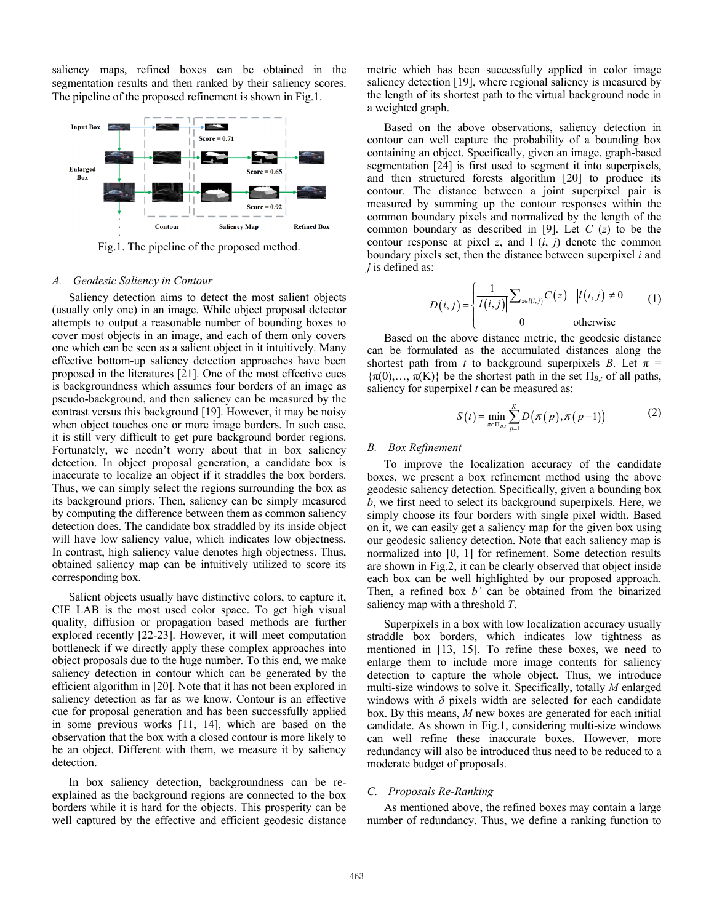saliency maps, refined boxes can be obtained in the segmentation results and then ranked by their saliency scores. The pipeline of the proposed refinement is shown in Fig.1.



Fig.1. The pipeline of the proposed method.

# *A. Geodesic Saliency in Contour*

Saliency detection aims to detect the most salient objects (usually only one) in an image. While object proposal detector attempts to output a reasonable number of bounding boxes to cover most objects in an image, and each of them only covers one which can be seen as a salient object in it intuitively. Many effective bottom-up saliency detection approaches have been proposed in the literatures [21]. One of the most effective cues is backgroundness which assumes four borders of an image as pseudo-background, and then saliency can be measured by the contrast versus this background [19]. However, it may be noisy when object touches one or more image borders. In such case, it is still very difficult to get pure background border regions. Fortunately, we needn't worry about that in box saliency detection. In object proposal generation, a candidate box is inaccurate to localize an object if it straddles the box borders. Thus, we can simply select the regions surrounding the box as its background priors. Then, saliency can be simply measured by computing the difference between them as common saliency detection does. The candidate box straddled by its inside object will have low saliency value, which indicates low objectness. In contrast, high saliency value denotes high objectness. Thus, obtained saliency map can be intuitively utilized to score its corresponding box.

Salient objects usually have distinctive colors, to capture it, CIE LAB is the most used color space. To get high visual quality, diffusion or propagation based methods are further explored recently [22-23]. However, it will meet computation bottleneck if we directly apply these complex approaches into object proposals due to the huge number. To this end, we make saliency detection in contour which can be generated by the efficient algorithm in [20]. Note that it has not been explored in saliency detection as far as we know. Contour is an effective cue for proposal generation and has been successfully applied in some previous works [11, 14], which are based on the observation that the box with a closed contour is more likely to be an object. Different with them, we measure it by saliency detection.

In box saliency detection, backgroundness can be reexplained as the background regions are connected to the box borders while it is hard for the objects. This prosperity can be well captured by the effective and efficient geodesic distance

metric which has been successfully applied in color image saliency detection [19], where regional saliency is measured by the length of its shortest path to the virtual background node in a weighted graph.

Based on the above observations, saliency detection in contour can well capture the probability of a bounding box containing an object. Specifically, given an image, graph-based segmentation [24] is first used to segment it into superpixels, and then structured forests algorithm [20] to produce its contour. The distance between a joint superpixel pair is measured by summing up the contour responses within the common boundary pixels and normalized by the length of the common boundary as described in [9]. Let *C* (*z*) to be the contour response at pixel  $z$ , and  $\frac{1}{i}$   $(i, j)$  denote the common boundary pixels set, then the distance between superpixel *i* and *j* is defined as:

$$
D(i,j) = \begin{cases} \frac{1}{|I(i,j)|} \sum_{z \in I(i,j)} C(z) & |I(i,j)| \neq 0\\ 0 & \text{otherwise} \end{cases} \tag{1}
$$

Based on the above distance metric, the geodesic distance can be formulated as the accumulated distances along the shortest path from *t* to background superpixels *B*. Let  $\pi$  =  ${\pi(0), \ldots, \pi(K)}$  be the shortest path in the set  $\Pi_{B,t}$  of all paths, saliency for superpixel *t* can be measured as:

$$
S(t) = \min_{\pi \in \Pi_{s}} \sum_{p=1}^{K} D(\pi(p), \pi(p-1))
$$
 (2)

#### *B. Box Refinement*

To improve the localization accuracy of the candidate boxes, we present a box refinement method using the above geodesic saliency detection. Specifically, given a bounding box *b*, we first need to select its background superpixels. Here, we simply choose its four borders with single pixel width. Based on it, we can easily get a saliency map for the given box using our geodesic saliency detection. Note that each saliency map is normalized into [0, 1] for refinement. Some detection results are shown in Fig.2, it can be clearly observed that object inside each box can be well highlighted by our proposed approach. Then, a refined box *b'* can be obtained from the binarized saliency map with a threshold *T*.

Superpixels in a box with low localization accuracy usually straddle box borders, which indicates low tightness as mentioned in [13, 15]. To refine these boxes, we need to enlarge them to include more image contents for saliency detection to capture the whole object. Thus, we introduce multi-size windows to solve it. Specifically, totally *M* enlarged windows with  $\delta$  pixels width are selected for each candidate box. By this means, *M* new boxes are generated for each initial candidate. As shown in Fig.1, considering multi-size windows can well refine these inaccurate boxes. However, more redundancy will also be introduced thus need to be reduced to a moderate budget of proposals.

#### *C. Proposals Re-Ranking*

As mentioned above, the refined boxes may contain a large number of redundancy. Thus, we define a ranking function to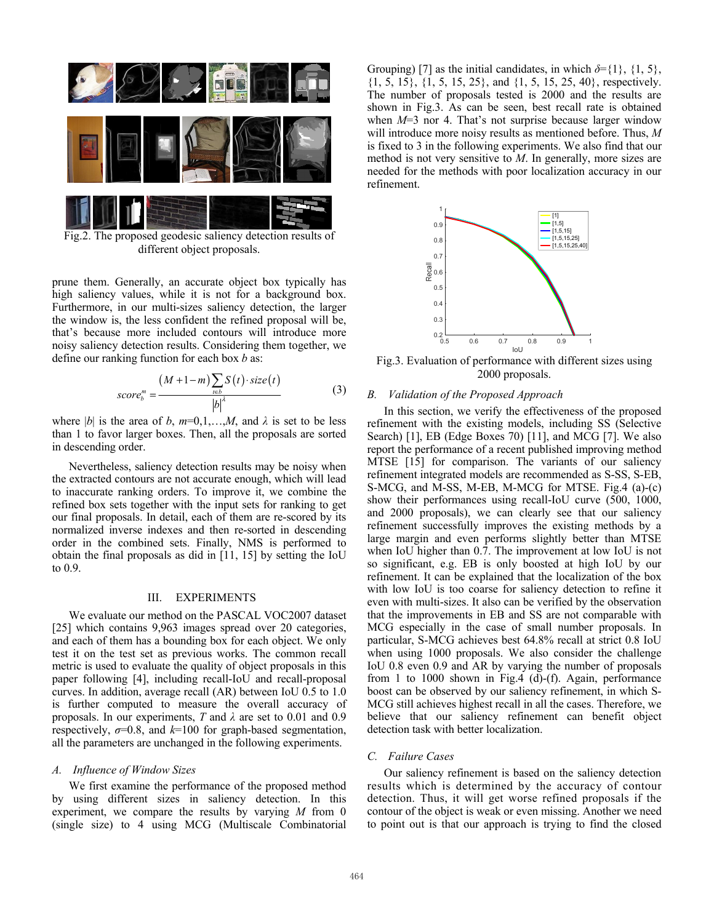

Fig.2. The proposed geodesic saliency detection results of different object proposals.

prune them. Generally, an accurate object box typically has high saliency values, while it is not for a background box. Furthermore, in our multi-sizes saliency detection, the larger the window is, the less confident the refined proposal will be, that's because more included contours will introduce more noisy saliency detection results. Considering them together, we define our ranking function for each box *b* as:

$$
score_b^m = \frac{(M+1-m)\sum_{t \in b} S(t) \cdot size(t)}{|b|^{\lambda}}
$$
(3)

where  $|b|$  is the area of *b*,  $m=0,1,...,M$ , and  $\lambda$  is set to be less than 1 to favor larger boxes. Then, all the proposals are sorted in descending order.

Nevertheless, saliency detection results may be noisy when the extracted contours are not accurate enough, which will lead to inaccurate ranking orders. To improve it, we combine the refined box sets together with the input sets for ranking to get our final proposals. In detail, each of them are re-scored by its normalized inverse indexes and then re-sorted in descending order in the combined sets. Finally, NMS is performed to obtain the final proposals as did in [11, 15] by setting the IoU to 0.9.

# III. EXPERIMENTS

We evaluate our method on the PASCAL VOC2007 dataset [25] which contains 9,963 images spread over 20 categories, and each of them has a bounding box for each object. We only test it on the test set as previous works. The common recall metric is used to evaluate the quality of object proposals in this paper following [4], including recall-IoU and recall-proposal curves. In addition, average recall (AR) between IoU 0.5 to 1.0 is further computed to measure the overall accuracy of proposals. In our experiments, *T* and *λ* are set to 0.01 and 0.9 respectively,  $\sigma$ =0.8, and  $k$ =100 for graph-based segmentation, all the parameters are unchanged in the following experiments.

### *A. Influence of Window Sizes*

We first examine the performance of the proposed method by using different sizes in saliency detection. In this experiment, we compare the results by varying *M* from 0 (single size) to 4 using MCG (Multiscale Combinatorial Grouping) [7] as the initial candidates, in which  $\delta = \{1\}$ ,  $\{1, 5\}$ , {1, 5, 15}, {1, 5, 15, 25}, and {1, 5, 15, 25, 40}, respectively. The number of proposals tested is 2000 and the results are shown in Fig.3. As can be seen, best recall rate is obtained when *M*=3 nor 4. That's not surprise because larger window will introduce more noisy results as mentioned before. Thus, *M* is fixed to 3 in the following experiments. We also find that our method is not very sensitive to *M*. In generally, more sizes are needed for the methods with poor localization accuracy in our refinement.



Fig.3. Evaluation of performance with different sizes using 2000 proposals.

#### *B. Validation of the Proposed Approach*

In this section, we verify the effectiveness of the proposed refinement with the existing models, including SS (Selective Search) [1], EB (Edge Boxes 70) [11], and MCG [7]. We also report the performance of a recent published improving method MTSE [15] for comparison. The variants of our saliency refinement integrated models are recommended as S-SS, S-EB, S-MCG, and M-SS, M-EB, M-MCG for MTSE. Fig.4 (a)-(c) show their performances using recall-IoU curve (500, 1000, and 2000 proposals), we can clearly see that our saliency refinement successfully improves the existing methods by a large margin and even performs slightly better than MTSE when IoU higher than 0.7. The improvement at low IoU is not so significant, e.g. EB is only boosted at high IoU by our refinement. It can be explained that the localization of the box with low IoU is too coarse for saliency detection to refine it even with multi-sizes. It also can be verified by the observation that the improvements in EB and SS are not comparable with MCG especially in the case of small number proposals. In particular, S-MCG achieves best 64.8% recall at strict 0.8 IoU when using 1000 proposals. We also consider the challenge IoU 0.8 even 0.9 and AR by varying the number of proposals from 1 to 1000 shown in Fig.4 (d)-(f). Again, performance boost can be observed by our saliency refinement, in which S-MCG still achieves highest recall in all the cases. Therefore, we believe that our saliency refinement can benefit object detection task with better localization.

### *C. Failure Cases*

Our saliency refinement is based on the saliency detection results which is determined by the accuracy of contour detection. Thus, it will get worse refined proposals if the contour of the object is weak or even missing. Another we need to point out is that our approach is trying to find the closed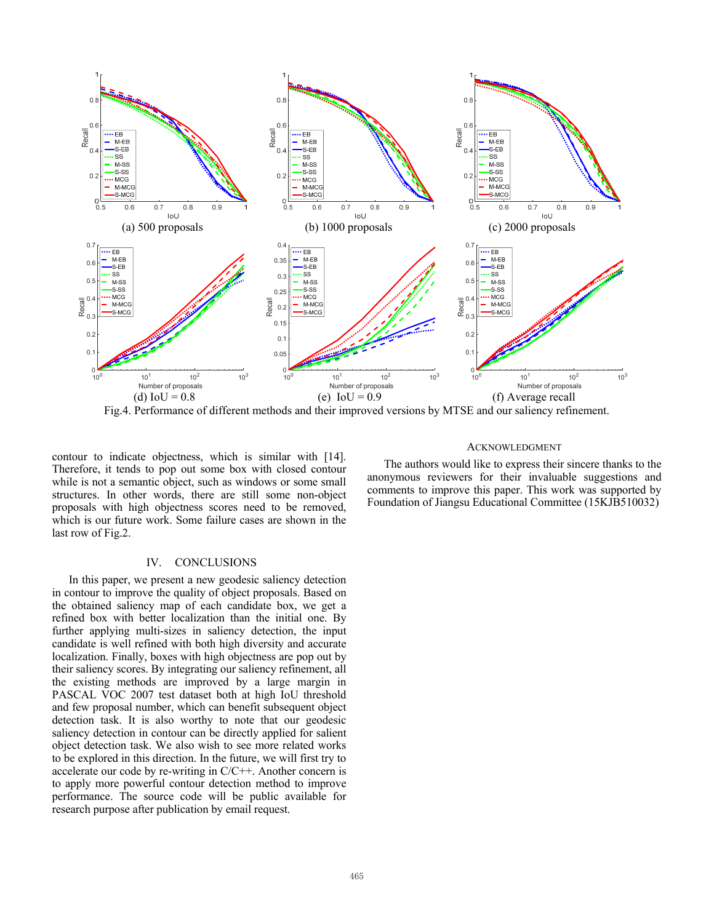

Fig.4. Performance of different methods and their improved versions by MTSE and our saliency refinement.

contour to indicate objectness, which is similar with [14]. Therefore, it tends to pop out some box with closed contour while is not a semantic object, such as windows or some small structures. In other words, there are still some non-object proposals with high objectness scores need to be removed, which is our future work. Some failure cases are shown in the last row of Fig.2.

# IV. CONCLUSIONS

In this paper, we present a new geodesic saliency detection in contour to improve the quality of object proposals. Based on the obtained saliency map of each candidate box, we get a refined box with better localization than the initial one. By further applying multi-sizes in saliency detection, the input candidate is well refined with both high diversity and accurate localization. Finally, boxes with high objectness are pop out by their saliency scores. By integrating our saliency refinement, all the existing methods are improved by a large margin in PASCAL VOC 2007 test dataset both at high IoU threshold and few proposal number, which can benefit subsequent object detection task. It is also worthy to note that our geodesic saliency detection in contour can be directly applied for salient object detection task. We also wish to see more related works to be explored in this direction. In the future, we will first try to accelerate our code by re-writing in C/C++. Another concern is to apply more powerful contour detection method to improve performance. The source code will be public available for research purpose after publication by email request.

#### **ACKNOWLEDGMENT**

The authors would like to express their sincere thanks to the anonymous reviewers for their invaluable suggestions and comments to improve this paper. This work was supported by Foundation of Jiangsu Educational Committee (15KJB510032)